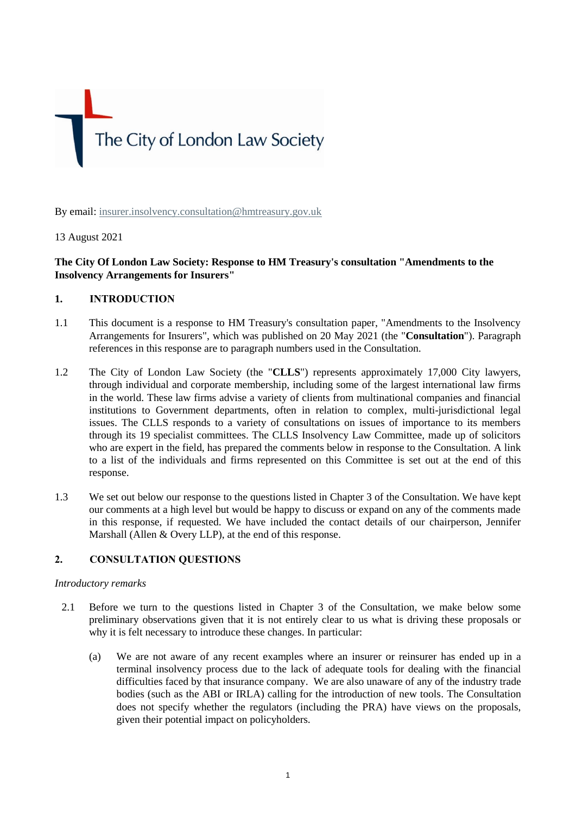The City of London Law Society

By email: [insurer.insolvency.consultation@hmtreasury.gov.uk](mailto:insurer.insolvency.consultation@hmtreasury.gov.uk)

# 13 August 2021

# **The City Of London Law Society: Response to HM Treasury's consultation "Amendments to the Insolvency Arrangements for Insurers"**

# **1. INTRODUCTION**

- 1.1 This document is a response to HM Treasury's consultation paper, "Amendments to the Insolvency Arrangements for Insurers", which was published on 20 May 2021 (the "**Consultation**"). Paragraph references in this response are to paragraph numbers used in the Consultation.
- 1.2 The City of London Law Society (the "**CLLS**") represents approximately 17,000 City lawyers, through individual and corporate membership, including some of the largest international law firms in the world. These law firms advise a variety of clients from multinational companies and financial institutions to Government departments, often in relation to complex, multi-jurisdictional legal issues. The CLLS responds to a variety of consultations on issues of importance to its members through its 19 specialist committees. The CLLS Insolvency Law Committee, made up of solicitors who are expert in the field, has prepared the comments below in response to the Consultation. A link to a list of the individuals and firms represented on this Committee is set out at the end of this response.
- 1.3 We set out below our response to the questions listed in Chapter 3 of the Consultation. We have kept our comments at a high level but would be happy to discuss or expand on any of the comments made in this response, if requested. We have included the contact details of our chairperson, Jennifer Marshall (Allen & Overy LLP), at the end of this response.

# **2. CONSULTATION QUESTIONS**

# *Introductory remarks*

- 2.1 Before we turn to the questions listed in Chapter 3 of the Consultation, we make below some preliminary observations given that it is not entirely clear to us what is driving these proposals or why it is felt necessary to introduce these changes. In particular:
	- (a) We are not aware of any recent examples where an insurer or reinsurer has ended up in a terminal insolvency process due to the lack of adequate tools for dealing with the financial difficulties faced by that insurance company. We are also unaware of any of the industry trade bodies (such as the ABI or IRLA) calling for the introduction of new tools. The Consultation does not specify whether the regulators (including the PRA) have views on the proposals, given their potential impact on policyholders.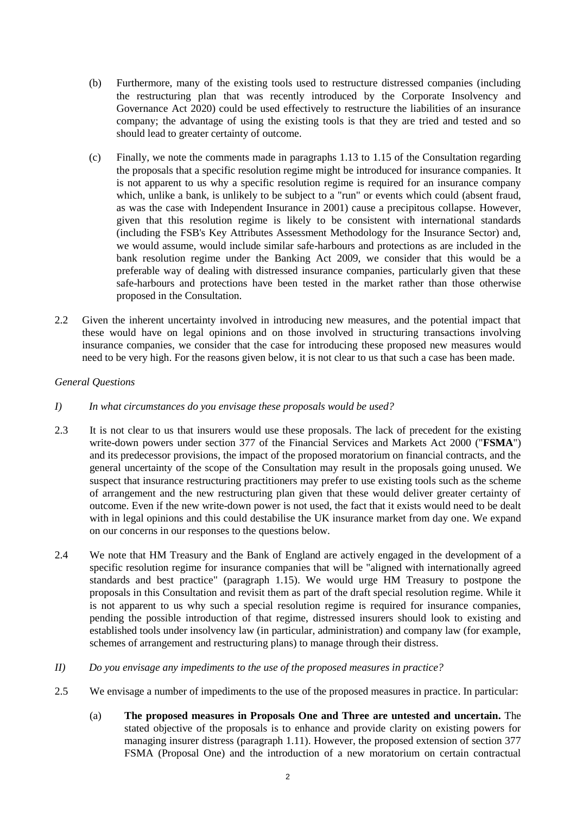- (b) Furthermore, many of the existing tools used to restructure distressed companies (including the restructuring plan that was recently introduced by the Corporate Insolvency and Governance Act 2020) could be used effectively to restructure the liabilities of an insurance company; the advantage of using the existing tools is that they are tried and tested and so should lead to greater certainty of outcome.
- (c) Finally, we note the comments made in paragraphs 1.13 to 1.15 of the Consultation regarding the proposals that a specific resolution regime might be introduced for insurance companies. It is not apparent to us why a specific resolution regime is required for an insurance company which, unlike a bank, is unlikely to be subject to a "run" or events which could (absent fraud, as was the case with Independent Insurance in 2001) cause a precipitous collapse. However, given that this resolution regime is likely to be consistent with international standards (including the FSB's Key Attributes Assessment Methodology for the Insurance Sector) and, we would assume, would include similar safe-harbours and protections as are included in the bank resolution regime under the Banking Act 2009, we consider that this would be a preferable way of dealing with distressed insurance companies, particularly given that these safe-harbours and protections have been tested in the market rather than those otherwise proposed in the Consultation.
- 2.2 Given the inherent uncertainty involved in introducing new measures, and the potential impact that these would have on legal opinions and on those involved in structuring transactions involving insurance companies, we consider that the case for introducing these proposed new measures would need to be very high. For the reasons given below, it is not clear to us that such a case has been made.

# *General Questions*

- *I) In what circumstances do you envisage these proposals would be used?*
- 2.3 It is not clear to us that insurers would use these proposals. The lack of precedent for the existing write-down powers under section 377 of the Financial Services and Markets Act 2000 ("**FSMA**") and its predecessor provisions, the impact of the proposed moratorium on financial contracts, and the general uncertainty of the scope of the Consultation may result in the proposals going unused. We suspect that insurance restructuring practitioners may prefer to use existing tools such as the scheme of arrangement and the new restructuring plan given that these would deliver greater certainty of outcome. Even if the new write-down power is not used, the fact that it exists would need to be dealt with in legal opinions and this could destabilise the UK insurance market from day one. We expand on our concerns in our responses to the questions below.
- 2.4 We note that HM Treasury and the Bank of England are actively engaged in the development of a specific resolution regime for insurance companies that will be "aligned with internationally agreed standards and best practice" (paragraph 1.15). We would urge HM Treasury to postpone the proposals in this Consultation and revisit them as part of the draft special resolution regime. While it is not apparent to us why such a special resolution regime is required for insurance companies, pending the possible introduction of that regime, distressed insurers should look to existing and established tools under insolvency law (in particular, administration) and company law (for example, schemes of arrangement and restructuring plans) to manage through their distress.
- *II) Do you envisage any impediments to the use of the proposed measures in practice?*
- 2.5 We envisage a number of impediments to the use of the proposed measures in practice. In particular:
	- (a) **The proposed measures in Proposals One and Three are untested and uncertain.** The stated objective of the proposals is to enhance and provide clarity on existing powers for managing insurer distress (paragraph 1.11). However, the proposed extension of section 377 FSMA (Proposal One) and the introduction of a new moratorium on certain contractual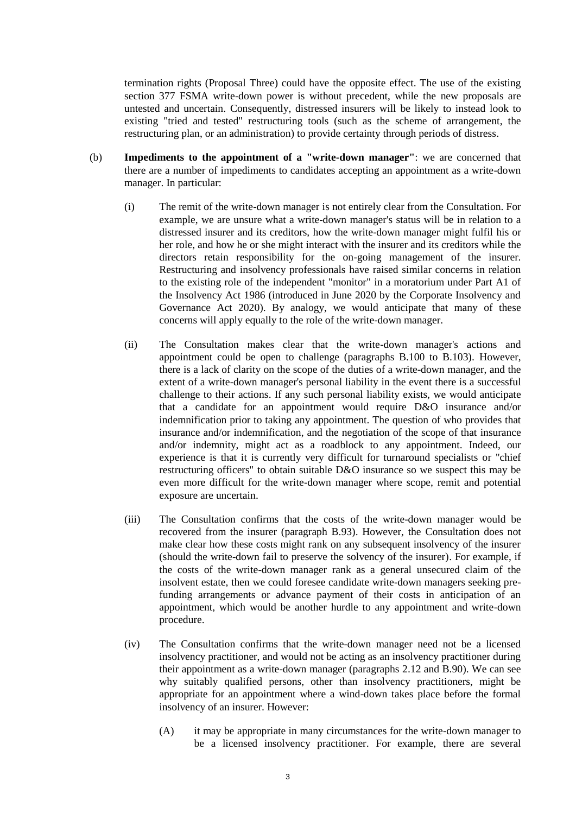termination rights (Proposal Three) could have the opposite effect. The use of the existing section 377 FSMA write-down power is without precedent, while the new proposals are untested and uncertain. Consequently, distressed insurers will be likely to instead look to existing "tried and tested" restructuring tools (such as the scheme of arrangement, the restructuring plan, or an administration) to provide certainty through periods of distress.

- (b) **Impediments to the appointment of a "write-down manager"**: we are concerned that there are a number of impediments to candidates accepting an appointment as a write-down manager. In particular:
	- (i) The remit of the write-down manager is not entirely clear from the Consultation. For example, we are unsure what a write-down manager's status will be in relation to a distressed insurer and its creditors, how the write-down manager might fulfil his or her role, and how he or she might interact with the insurer and its creditors while the directors retain responsibility for the on-going management of the insurer. Restructuring and insolvency professionals have raised similar concerns in relation to the existing role of the independent "monitor" in a moratorium under Part A1 of the Insolvency Act 1986 (introduced in June 2020 by the Corporate Insolvency and Governance Act 2020). By analogy, we would anticipate that many of these concerns will apply equally to the role of the write-down manager.
	- (ii) The Consultation makes clear that the write-down manager's actions and appointment could be open to challenge (paragraphs B.100 to B.103). However, there is a lack of clarity on the scope of the duties of a write-down manager, and the extent of a write-down manager's personal liability in the event there is a successful challenge to their actions. If any such personal liability exists, we would anticipate that a candidate for an appointment would require D&O insurance and/or indemnification prior to taking any appointment. The question of who provides that insurance and/or indemnification, and the negotiation of the scope of that insurance and/or indemnity, might act as a roadblock to any appointment. Indeed, our experience is that it is currently very difficult for turnaround specialists or "chief restructuring officers" to obtain suitable D&O insurance so we suspect this may be even more difficult for the write-down manager where scope, remit and potential exposure are uncertain.
	- (iii) The Consultation confirms that the costs of the write-down manager would be recovered from the insurer (paragraph B.93). However, the Consultation does not make clear how these costs might rank on any subsequent insolvency of the insurer (should the write-down fail to preserve the solvency of the insurer). For example, if the costs of the write-down manager rank as a general unsecured claim of the insolvent estate, then we could foresee candidate write-down managers seeking prefunding arrangements or advance payment of their costs in anticipation of an appointment, which would be another hurdle to any appointment and write-down procedure.
	- (iv) The Consultation confirms that the write-down manager need not be a licensed insolvency practitioner, and would not be acting as an insolvency practitioner during their appointment as a write-down manager (paragraphs 2.12 and B.90). We can see why suitably qualified persons, other than insolvency practitioners, might be appropriate for an appointment where a wind-down takes place before the formal insolvency of an insurer. However:
		- (A) it may be appropriate in many circumstances for the write-down manager to be a licensed insolvency practitioner. For example, there are several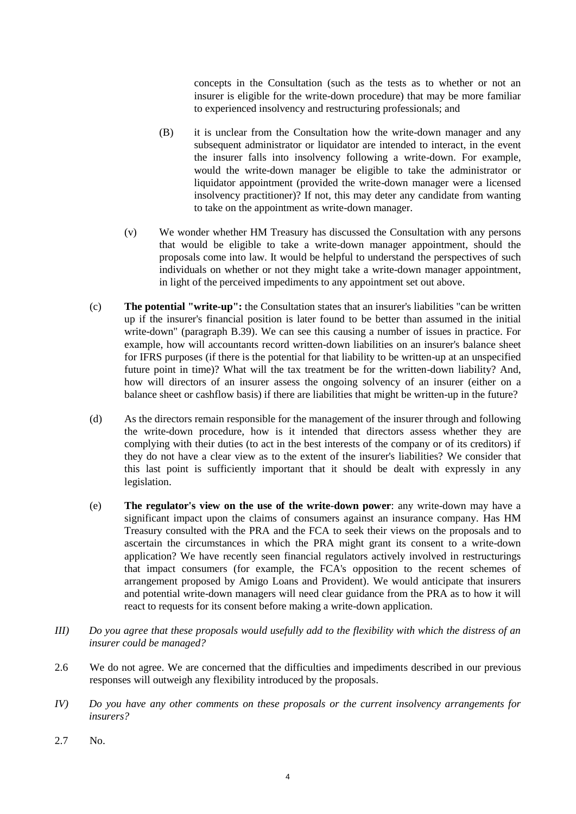concepts in the Consultation (such as the tests as to whether or not an insurer is eligible for the write-down procedure) that may be more familiar to experienced insolvency and restructuring professionals; and

- (B) it is unclear from the Consultation how the write-down manager and any subsequent administrator or liquidator are intended to interact, in the event the insurer falls into insolvency following a write-down. For example, would the write-down manager be eligible to take the administrator or liquidator appointment (provided the write-down manager were a licensed insolvency practitioner)? If not, this may deter any candidate from wanting to take on the appointment as write-down manager.
- (v) We wonder whether HM Treasury has discussed the Consultation with any persons that would be eligible to take a write-down manager appointment, should the proposals come into law. It would be helpful to understand the perspectives of such individuals on whether or not they might take a write-down manager appointment, in light of the perceived impediments to any appointment set out above.
- (c) **The potential "write-up":** the Consultation states that an insurer's liabilities "can be written up if the insurer's financial position is later found to be better than assumed in the initial write-down" (paragraph B.39). We can see this causing a number of issues in practice. For example, how will accountants record written-down liabilities on an insurer's balance sheet for IFRS purposes (if there is the potential for that liability to be written-up at an unspecified future point in time)? What will the tax treatment be for the written-down liability? And, how will directors of an insurer assess the ongoing solvency of an insurer (either on a balance sheet or cashflow basis) if there are liabilities that might be written-up in the future?
- (d) As the directors remain responsible for the management of the insurer through and following the write-down procedure, how is it intended that directors assess whether they are complying with their duties (to act in the best interests of the company or of its creditors) if they do not have a clear view as to the extent of the insurer's liabilities? We consider that this last point is sufficiently important that it should be dealt with expressly in any legislation.
- (e) **The regulator's view on the use of the write-down power**: any write-down may have a significant impact upon the claims of consumers against an insurance company. Has HM Treasury consulted with the PRA and the FCA to seek their views on the proposals and to ascertain the circumstances in which the PRA might grant its consent to a write-down application? We have recently seen financial regulators actively involved in restructurings that impact consumers (for example, the FCA's opposition to the recent schemes of arrangement proposed by Amigo Loans and Provident). We would anticipate that insurers and potential write-down managers will need clear guidance from the PRA as to how it will react to requests for its consent before making a write-down application.
- *III) Do you agree that these proposals would usefully add to the flexibility with which the distress of an insurer could be managed?*
- 2.6 We do not agree. We are concerned that the difficulties and impediments described in our previous responses will outweigh any flexibility introduced by the proposals.
- *IV) Do you have any other comments on these proposals or the current insolvency arrangements for insurers?*
- 2.7 No.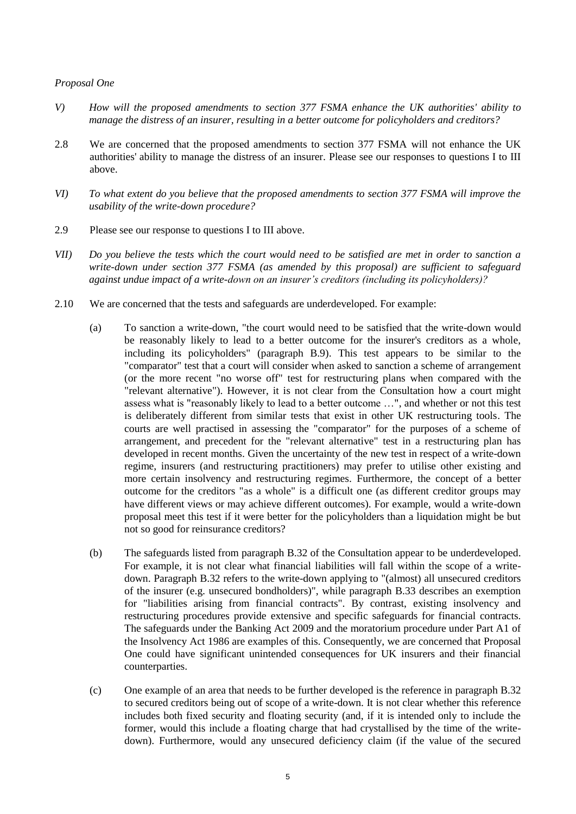### *Proposal One*

- *V) How will the proposed amendments to section 377 FSMA enhance the UK authorities' ability to manage the distress of an insurer, resulting in a better outcome for policyholders and creditors?*
- 2.8 We are concerned that the proposed amendments to section 377 FSMA will not enhance the UK authorities' ability to manage the distress of an insurer. Please see our responses to questions I to III above.
- *VI) To what extent do you believe that the proposed amendments to section 377 FSMA will improve the usability of the write-down procedure?*
- 2.9 Please see our response to questions I to III above.
- *VII) Do you believe the tests which the court would need to be satisfied are met in order to sanction a write-down under section 377 FSMA (as amended by this proposal) are sufficient to safeguard against undue impact of a write-down on an insurer's creditors (including its policyholders)?*
- 2.10 We are concerned that the tests and safeguards are underdeveloped. For example:
	- (a) To sanction a write-down, "the court would need to be satisfied that the write-down would be reasonably likely to lead to a better outcome for the insurer's creditors as a whole, including its policyholders" (paragraph B.9). This test appears to be similar to the "comparator" test that a court will consider when asked to sanction a scheme of arrangement (or the more recent "no worse off" test for restructuring plans when compared with the "relevant alternative"). However, it is not clear from the Consultation how a court might assess what is "reasonably likely to lead to a better outcome …", and whether or not this test is deliberately different from similar tests that exist in other UK restructuring tools. The courts are well practised in assessing the "comparator" for the purposes of a scheme of arrangement, and precedent for the "relevant alternative" test in a restructuring plan has developed in recent months. Given the uncertainty of the new test in respect of a write-down regime, insurers (and restructuring practitioners) may prefer to utilise other existing and more certain insolvency and restructuring regimes. Furthermore, the concept of a better outcome for the creditors "as a whole" is a difficult one (as different creditor groups may have different views or may achieve different outcomes). For example, would a write-down proposal meet this test if it were better for the policyholders than a liquidation might be but not so good for reinsurance creditors?
	- (b) The safeguards listed from paragraph B.32 of the Consultation appear to be underdeveloped. For example, it is not clear what financial liabilities will fall within the scope of a writedown. Paragraph B.32 refers to the write-down applying to "(almost) all unsecured creditors of the insurer (e.g. unsecured bondholders)", while paragraph B.33 describes an exemption for "liabilities arising from financial contracts". By contrast, existing insolvency and restructuring procedures provide extensive and specific safeguards for financial contracts. The safeguards under the Banking Act 2009 and the moratorium procedure under Part A1 of the Insolvency Act 1986 are examples of this. Consequently, we are concerned that Proposal One could have significant unintended consequences for UK insurers and their financial counterparties.
	- (c) One example of an area that needs to be further developed is the reference in paragraph B.32 to secured creditors being out of scope of a write-down. It is not clear whether this reference includes both fixed security and floating security (and, if it is intended only to include the former, would this include a floating charge that had crystallised by the time of the writedown). Furthermore, would any unsecured deficiency claim (if the value of the secured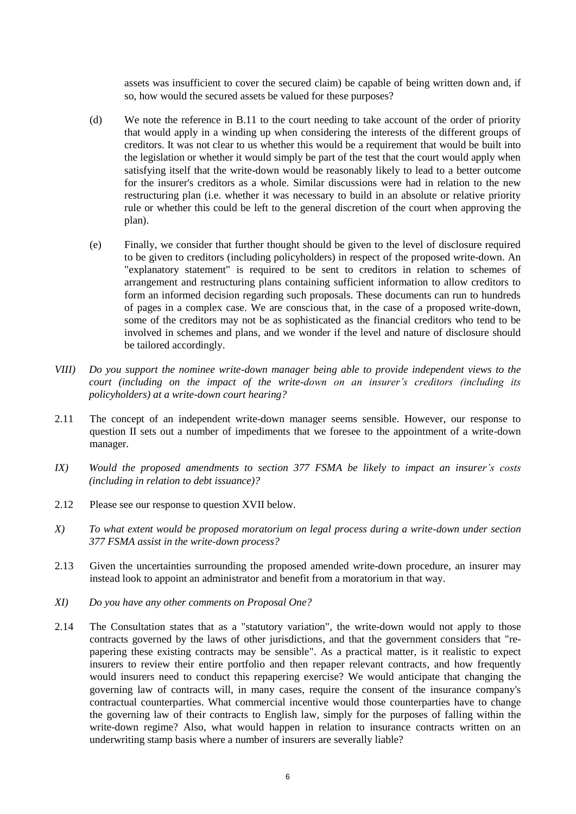assets was insufficient to cover the secured claim) be capable of being written down and, if so, how would the secured assets be valued for these purposes?

- (d) We note the reference in B.11 to the court needing to take account of the order of priority that would apply in a winding up when considering the interests of the different groups of creditors. It was not clear to us whether this would be a requirement that would be built into the legislation or whether it would simply be part of the test that the court would apply when satisfying itself that the write-down would be reasonably likely to lead to a better outcome for the insurer's creditors as a whole. Similar discussions were had in relation to the new restructuring plan (i.e. whether it was necessary to build in an absolute or relative priority rule or whether this could be left to the general discretion of the court when approving the plan).
- (e) Finally, we consider that further thought should be given to the level of disclosure required to be given to creditors (including policyholders) in respect of the proposed write-down. An "explanatory statement" is required to be sent to creditors in relation to schemes of arrangement and restructuring plans containing sufficient information to allow creditors to form an informed decision regarding such proposals. These documents can run to hundreds of pages in a complex case. We are conscious that, in the case of a proposed write-down, some of the creditors may not be as sophisticated as the financial creditors who tend to be involved in schemes and plans, and we wonder if the level and nature of disclosure should be tailored accordingly.
- *VIII) Do you support the nominee write-down manager being able to provide independent views to the court (including on the impact of the write-down on an insurer's creditors (including its policyholders) at a write-down court hearing?*
- 2.11 The concept of an independent write-down manager seems sensible. However, our response to question II sets out a number of impediments that we foresee to the appointment of a write-down manager.
- *IX) Would the proposed amendments to section 377 FSMA be likely to impact an insurer's costs (including in relation to debt issuance)?*
- 2.12 Please see our response to question XVII below.
- *X) To what extent would be proposed moratorium on legal process during a write-down under section 377 FSMA assist in the write-down process?*
- 2.13 Given the uncertainties surrounding the proposed amended write-down procedure, an insurer may instead look to appoint an administrator and benefit from a moratorium in that way.
- *XI) Do you have any other comments on Proposal One?*
- 2.14 The Consultation states that as a "statutory variation", the write-down would not apply to those contracts governed by the laws of other jurisdictions, and that the government considers that "repapering these existing contracts may be sensible". As a practical matter, is it realistic to expect insurers to review their entire portfolio and then repaper relevant contracts, and how frequently would insurers need to conduct this repapering exercise? We would anticipate that changing the governing law of contracts will, in many cases, require the consent of the insurance company's contractual counterparties. What commercial incentive would those counterparties have to change the governing law of their contracts to English law, simply for the purposes of falling within the write-down regime? Also, what would happen in relation to insurance contracts written on an underwriting stamp basis where a number of insurers are severally liable?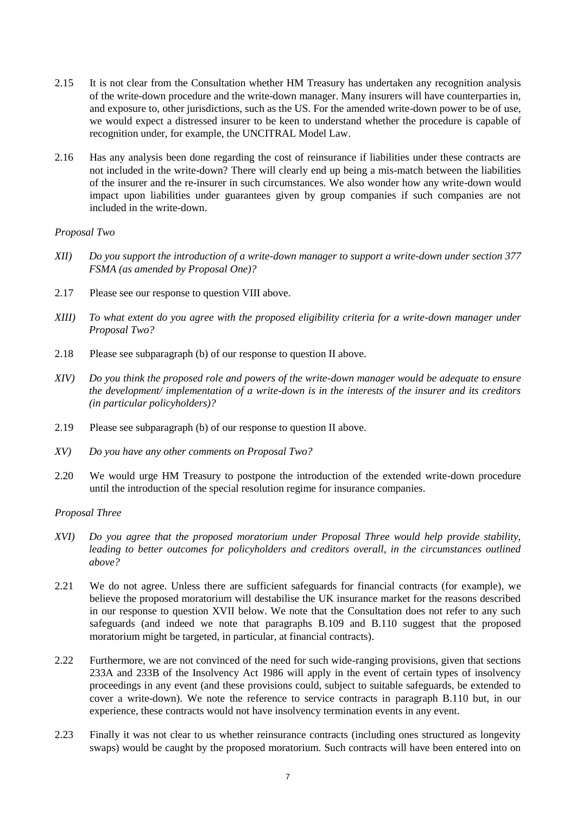- 2.15 It is not clear from the Consultation whether HM Treasury has undertaken any recognition analysis of the write-down procedure and the write-down manager. Many insurers will have counterparties in, and exposure to, other jurisdictions, such as the US. For the amended write-down power to be of use, we would expect a distressed insurer to be keen to understand whether the procedure is capable of recognition under, for example, the UNCITRAL Model Law.
- 2.16 Has any analysis been done regarding the cost of reinsurance if liabilities under these contracts are not included in the write-down? There will clearly end up being a mis-match between the liabilities of the insurer and the re-insurer in such circumstances. We also wonder how any write-down would impact upon liabilities under guarantees given by group companies if such companies are not included in the write-down.

# *Proposal Two*

- *XII) Do you support the introduction of a write-down manager to support a write-down under section 377 FSMA (as amended by Proposal One)?*
- 2.17 Please see our response to question VIII above.
- *XIII) To what extent do you agree with the proposed eligibility criteria for a write-down manager under Proposal Two?*
- 2.18 Please see subparagraph (b) of our response to question II above.
- *XIV) Do you think the proposed role and powers of the write-down manager would be adequate to ensure the development/ implementation of a write-down is in the interests of the insurer and its creditors (in particular policyholders)?*
- 2.19 Please see subparagraph (b) of our response to question II above.
- *XV) Do you have any other comments on Proposal Two?*
- 2.20 We would urge HM Treasury to postpone the introduction of the extended write-down procedure until the introduction of the special resolution regime for insurance companies.

# *Proposal Three*

- *XVI) Do you agree that the proposed moratorium under Proposal Three would help provide stability,*  leading to better outcomes for policyholders and creditors overall, in the circumstances outlined *above?*
- 2.21 We do not agree. Unless there are sufficient safeguards for financial contracts (for example), we believe the proposed moratorium will destabilise the UK insurance market for the reasons described in our response to question XVII below. We note that the Consultation does not refer to any such safeguards (and indeed we note that paragraphs B.109 and B.110 suggest that the proposed moratorium might be targeted, in particular, at financial contracts).
- 2.22 Furthermore, we are not convinced of the need for such wide-ranging provisions, given that sections 233A and 233B of the Insolvency Act 1986 will apply in the event of certain types of insolvency proceedings in any event (and these provisions could, subject to suitable safeguards, be extended to cover a write-down). We note the reference to service contracts in paragraph B.110 but, in our experience, these contracts would not have insolvency termination events in any event.
- 2.23 Finally it was not clear to us whether reinsurance contracts (including ones structured as longevity swaps) would be caught by the proposed moratorium. Such contracts will have been entered into on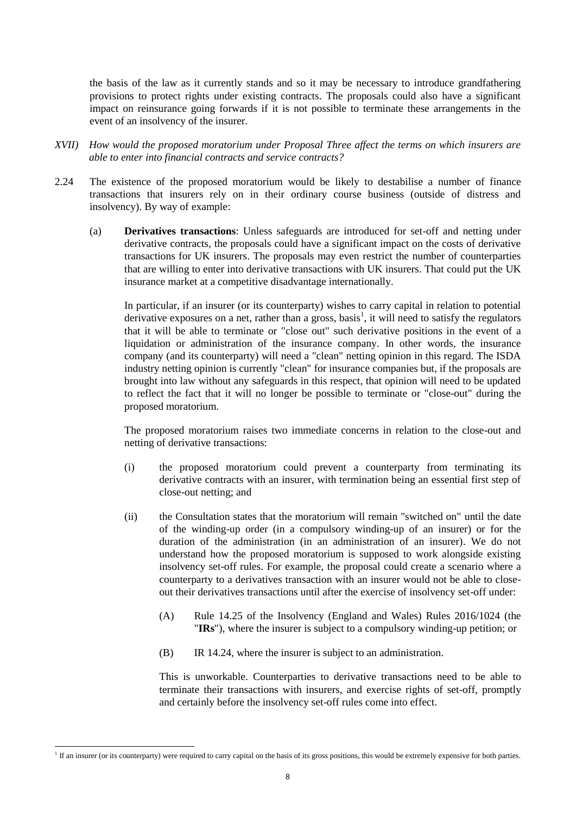the basis of the law as it currently stands and so it may be necessary to introduce grandfathering provisions to protect rights under existing contracts. The proposals could also have a significant impact on reinsurance going forwards if it is not possible to terminate these arrangements in the event of an insolvency of the insurer.

- *XVII) How would the proposed moratorium under Proposal Three affect the terms on which insurers are able to enter into financial contracts and service contracts?*
- 2.24 The existence of the proposed moratorium would be likely to destabilise a number of finance transactions that insurers rely on in their ordinary course business (outside of distress and insolvency). By way of example:
	- (a) **Derivatives transactions**: Unless safeguards are introduced for set-off and netting under derivative contracts, the proposals could have a significant impact on the costs of derivative transactions for UK insurers. The proposals may even restrict the number of counterparties that are willing to enter into derivative transactions with UK insurers. That could put the UK insurance market at a competitive disadvantage internationally.

In particular, if an insurer (or its counterparty) wishes to carry capital in relation to potential derivative exposures on a net, rather than a gross, basis<sup>1</sup>, it will need to satisfy the regulators that it will be able to terminate or "close out" such derivative positions in the event of a liquidation or administration of the insurance company. In other words, the insurance company (and its counterparty) will need a "clean" netting opinion in this regard. The ISDA industry netting opinion is currently "clean" for insurance companies but, if the proposals are brought into law without any safeguards in this respect, that opinion will need to be updated to reflect the fact that it will no longer be possible to terminate or "close-out" during the proposed moratorium.

The proposed moratorium raises two immediate concerns in relation to the close-out and netting of derivative transactions:

- (i) the proposed moratorium could prevent a counterparty from terminating its derivative contracts with an insurer, with termination being an essential first step of close-out netting; and
- (ii) the Consultation states that the moratorium will remain "switched on" until the date of the winding-up order (in a compulsory winding-up of an insurer) or for the duration of the administration (in an administration of an insurer). We do not understand how the proposed moratorium is supposed to work alongside existing insolvency set-off rules. For example, the proposal could create a scenario where a counterparty to a derivatives transaction with an insurer would not be able to closeout their derivatives transactions until after the exercise of insolvency set-off under:
	- (A) Rule 14.25 of the Insolvency (England and Wales) Rules 2016/1024 (the "**IRs**"), where the insurer is subject to a compulsory winding-up petition; or
	- (B) IR 14.24, where the insurer is subject to an administration.

This is unworkable. Counterparties to derivative transactions need to be able to terminate their transactions with insurers, and exercise rights of set-off, promptly and certainly before the insolvency set-off rules come into effect.

<sup>1</sup> <sup>1</sup> If an insurer (or its counterparty) were required to carry capital on the basis of its gross positions, this would be extremely expensive for both parties.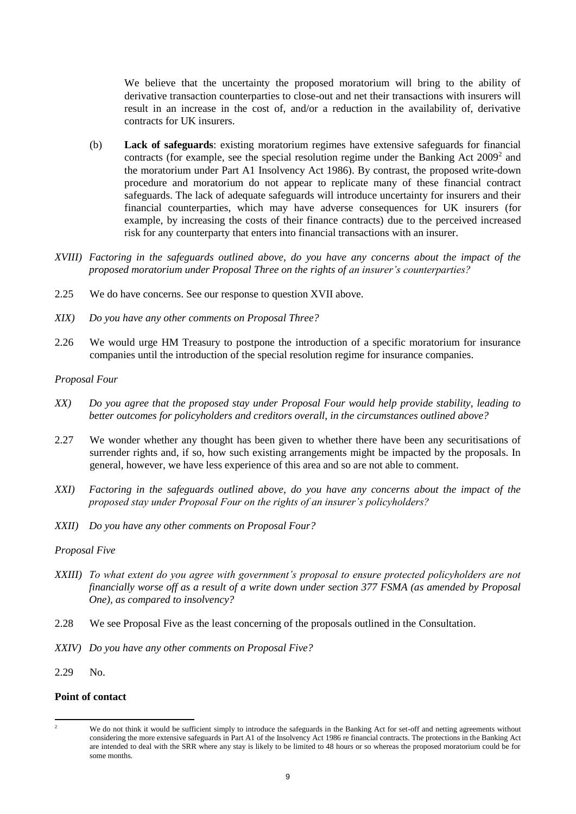We believe that the uncertainty the proposed moratorium will bring to the ability of derivative transaction counterparties to close-out and net their transactions with insurers will result in an increase in the cost of, and/or a reduction in the availability of, derivative contracts for UK insurers.

- (b) **Lack of safeguards**: existing moratorium regimes have extensive safeguards for financial contracts (for example, see the special resolution regime under the Banking Act  $2009<sup>2</sup>$  and the moratorium under Part A1 Insolvency Act 1986). By contrast, the proposed write-down procedure and moratorium do not appear to replicate many of these financial contract safeguards. The lack of adequate safeguards will introduce uncertainty for insurers and their financial counterparties, which may have adverse consequences for UK insurers (for example, by increasing the costs of their finance contracts) due to the perceived increased risk for any counterparty that enters into financial transactions with an insurer.
- *XVIII) Factoring in the safeguards outlined above, do you have any concerns about the impact of the proposed moratorium under Proposal Three on the rights of an insurer's counterparties?*
- 2.25 We do have concerns. See our response to question XVII above.
- *XIX) Do you have any other comments on Proposal Three?*
- 2.26 We would urge HM Treasury to postpone the introduction of a specific moratorium for insurance companies until the introduction of the special resolution regime for insurance companies.

#### *Proposal Four*

- *XX) Do you agree that the proposed stay under Proposal Four would help provide stability, leading to better outcomes for policyholders and creditors overall, in the circumstances outlined above?*
- 2.27 We wonder whether any thought has been given to whether there have been any securitisations of surrender rights and, if so, how such existing arrangements might be impacted by the proposals. In general, however, we have less experience of this area and so are not able to comment.
- *XXI) Factoring in the safeguards outlined above, do you have any concerns about the impact of the proposed stay under Proposal Four on the rights of an insurer's policyholders?*
- *XXII) Do you have any other comments on Proposal Four?*

#### *Proposal Five*

- *XXIII) To what extent do you agree with government's proposal to ensure protected policyholders are not financially worse off as a result of a write down under section 377 FSMA (as amended by Proposal One), as compared to insolvency?*
- 2.28 We see Proposal Five as the least concerning of the proposals outlined in the Consultation.
- *XXIV) Do you have any other comments on Proposal Five?*
- 2.29 No.

### **Point of contact**

 $\overline{2}$ We do not think it would be sufficient simply to introduce the safeguards in the Banking Act for set-off and netting agreements without considering the more extensive safeguards in Part A1 of the Insolvency Act 1986 re financial contracts. The protections in the Banking Act are intended to deal with the SRR where any stay is likely to be limited to 48 hours or so whereas the proposed moratorium could be for some months.